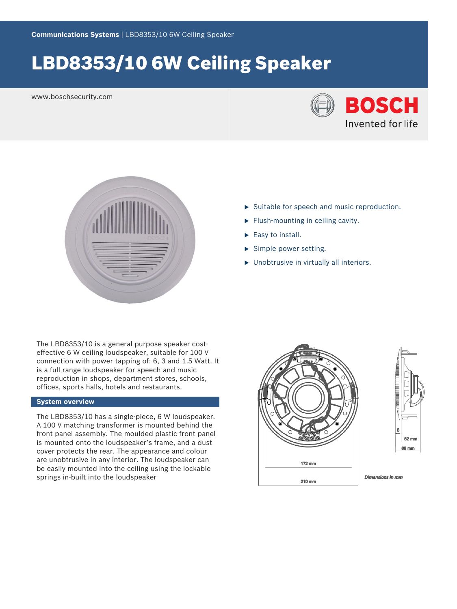# LBD8353/10 6W Ceiling Speaker

www.boschsecurity.com





- $\triangleright$  Suitable for speech and music reproduction.
- $\blacktriangleright$  Flush-mounting in ceiling cavity.
- $\blacktriangleright$  Easy to install.
- $\blacktriangleright$  Simple power setting.
- $\blacktriangleright$  Unobtrusive in virtually all interiors.

The LBD8353/10 is a general purpose speaker costeffective 6 W ceiling loudspeaker, suitable for 100 V connection with power tapping of: 6, 3 and 1.5 Watt. It is a full range loudspeaker for speech and music reproduction in shops, department stores, schools, offices, sports halls, hotels and restaurants.

#### **System overview**

The LBD8353/10 has a single-piece, 6 W loudspeaker. A 100 V matching transformer is mounted behind the front panel assembly. The moulded plastic front panel is mounted onto the loudspeaker's frame, and a dust cover protects the rear. The appearance and colour are unobtrusive in any interior. The loudspeaker can be easily mounted into the ceiling using the lockable springs in-built into the loudspeaker





**Dimensions in mm**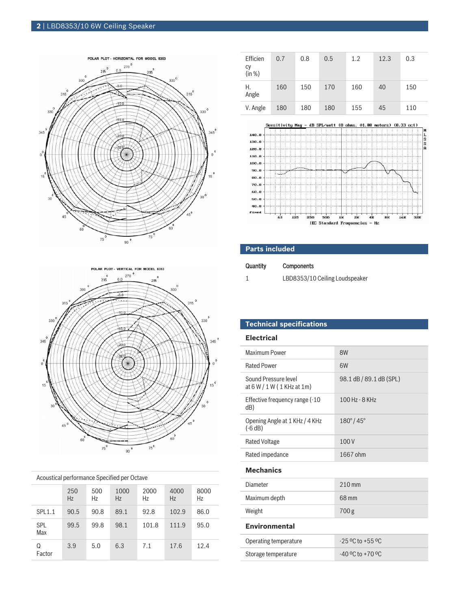## **2** | LBD8353/10 6W Ceiling Speaker





|  | Acoustical performance Specified per Octave |  |  |
|--|---------------------------------------------|--|--|
|--|---------------------------------------------|--|--|

|                   | 250<br>Hz | 500<br>Hz | 1000<br>Hz | 2000<br>Hz | 4000<br>Hz | 8000<br>Hz |
|-------------------|-----------|-----------|------------|------------|------------|------------|
| <b>SPL1.1</b>     | 90.5      | 90.8      | 89.1       | 92.8       | 102.9      | 86.0       |
| <b>SPL</b><br>Max | 99.5      | 99.8      | 98.1       | 101.8      | 111.9      | 95.0       |
| Q<br>Factor       | 3.9       | 5.0       | 6.3        | 7.1        | 17.6       | 12.4       |

| Efficien<br>сy<br>(in %) | 0.7 | 0.8 | 0.5 | 1.2 | 12.3 | 0.3 |
|--------------------------|-----|-----|-----|-----|------|-----|
| Η.<br>Angle              | 160 | 150 | 170 | 160 | 40   | 150 |
| V. Angle                 | 180 | 180 | 180 | 155 | 45   | 110 |



#### **Parts included**

| Quantity | <b>Components</b>              |
|----------|--------------------------------|
|          | LBD8353/10 Ceiling Loudspeaker |

### **Technical specifications**

#### **Electrical**

| Maximum Power                                        | 8W                       |
|------------------------------------------------------|--------------------------|
| <b>Rated Power</b>                                   | 6W                       |
| Sound Pressure level<br>at $6 W / 1 W (1 KHz at 1m)$ | 98.1 dB / 89.1 dB (SPL)  |
| Effective frequency range (-10<br>dB)                | $100$ Hz - $8$ KHz       |
| Opening Angle at 1 KHz / 4 KHz<br>$(-6 dB)$          | $180^{\circ}/45^{\circ}$ |
| <b>Rated Voltage</b>                                 | 100V                     |
| Rated impedance                                      | 1667 ohm                 |
| <b>Mechanics</b>                                     |                          |
| Diameter                                             | $210$ mm                 |
| Maximum depth                                        | 68 mm                    |
| Weight                                               | 700 <sub>g</sub>         |
| <b>Environmental</b>                                 |                          |
| Operating temperature                                | $-25$ °C to $+55$ °C     |
| Storage temperature                                  | $-40$ °C to $+70$ °C     |
|                                                      |                          |